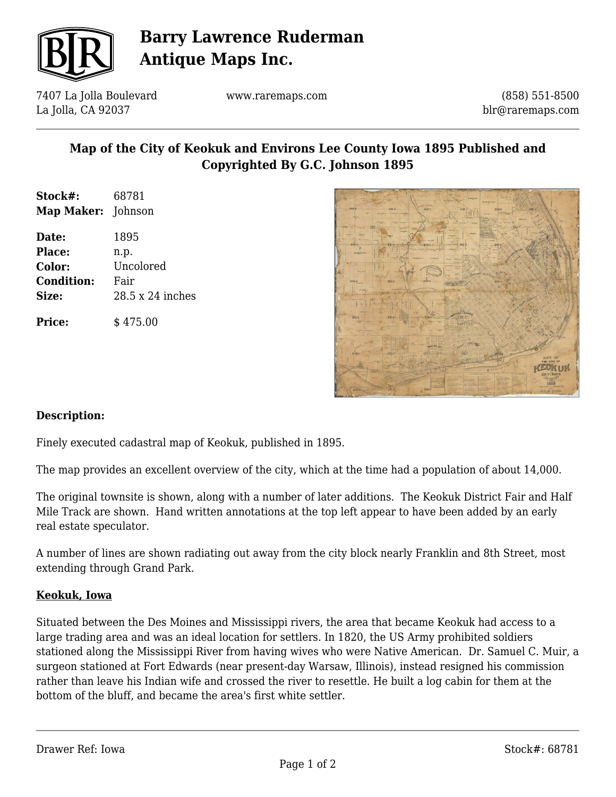

# **Barry Lawrence Ruderman Antique Maps Inc.**

7407 La Jolla Boulevard La Jolla, CA 92037

www.raremaps.com

(858) 551-8500 blr@raremaps.com

### **Map of the City of Keokuk and Environs Lee County Iowa 1895 Published and Copyrighted By G.C. Johnson 1895**

| Stock#:                   | 68781            |
|---------------------------|------------------|
| <b>Map Maker:</b> Johnson |                  |
| Date:                     | 1895             |
| <b>Place:</b>             | n.p.             |
| Color:                    | Uncolored        |
| <b>Condition:</b>         | Fair             |
| Size:                     | 28.5 x 24 inches |
| <b>Price:</b>             | \$475.00         |



#### **Description:**

Finely executed cadastral map of Keokuk, published in 1895.

The map provides an excellent overview of the city, which at the time had a population of about 14,000.

The original townsite is shown, along with a number of later additions. The Keokuk District Fair and Half Mile Track are shown. Hand written annotations at the top left appear to have been added by an early real estate speculator.

A number of lines are shown radiating out away from the city block nearly Franklin and 8th Street, most extending through Grand Park.

#### **Keokuk, Iowa**

Situated between the Des Moines and Mississippi rivers, the area that became Keokuk had access to a large trading area and was an ideal location for settlers. In 1820, the US Army prohibited soldiers stationed along the Mississippi River from having wives who were Native American. Dr. Samuel C. Muir, a surgeon stationed at Fort Edwards (near present-day Warsaw, Illinois), instead resigned his commission rather than leave his Indian wife and crossed the river to resettle. He built a log cabin for them at the bottom of the bluff, and became the area's first white settler.